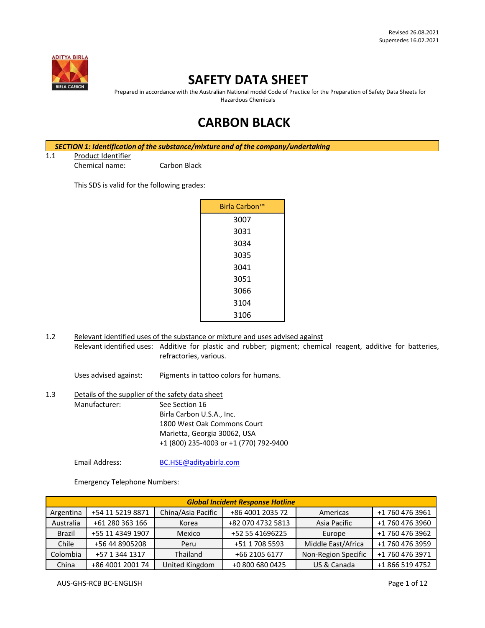

# **SAFETY DATA SHEET**

Prepared in accordance with the Australian National model Code of Practice for the Preparation of Safety Data Sheets for Hazardous Chemicals

# **CARBON BLACK**

*SECTION 1: Identification of the substance/mixture and of the company/undertaking*

1.1 Product Identifier

Chemical name: Carbon Black

This SDS is valid for the following grades:

| Birla Carbon™ |  |
|---------------|--|
| 3007          |  |
| 3031          |  |
| 3034          |  |
| 3035          |  |
| 3041          |  |
| 3051          |  |
| 3066          |  |
| 3104          |  |
| 3106          |  |

1.2 Relevant identified uses of the substance or mixture and uses advised against Relevant identified uses: Additive for plastic and rubber; pigment; chemical reagent, additive for batteries, refractories, various.

Uses advised against: Pigments in tattoo colors for humans.

1.3 Details of the supplier of the safety data sheet Manufacturer: See Section 16 Birla Carbon U.S.A., Inc. 1800 West Oak Commons Court Marietta, Georgia 30062, USA +1 (800) 235-4003 or +1 (770) 792-9400

Email Address: [BC.HSE@adityabirla.com](mailto:BC.HSE@adityabirla.com)

Emergency Telephone Numbers:

|               | <b>Global Incident Response Hotline</b> |                    |                   |                     |                 |
|---------------|-----------------------------------------|--------------------|-------------------|---------------------|-----------------|
| Argentina     | +54 11 5219 8871                        | China/Asia Pacific | +86 4001 2035 72  | Americas            | +1 760 476 3961 |
| Australia     | +61 280 363 166                         | Korea              | +82 070 4732 5813 | Asia Pacific        | +1 760 476 3960 |
| <b>Brazil</b> | +55 11 4349 1907                        | Mexico             | +52 55 41696225   | Europe              | +1 760 476 3962 |
| Chile         | +56 44 8905208                          | Peru               | +51 1 708 5593    | Middle East/Africa  | +1 760 476 3959 |
| Colombia      | +57 1 344 1317                          | Thailand           | +66 2105 6177     | Non-Region Specific | +1 760 476 3971 |
| China         | +86 4001 2001 74                        | United Kingdom     | +0 800 680 0425   | US & Canada         | +1 866 519 4752 |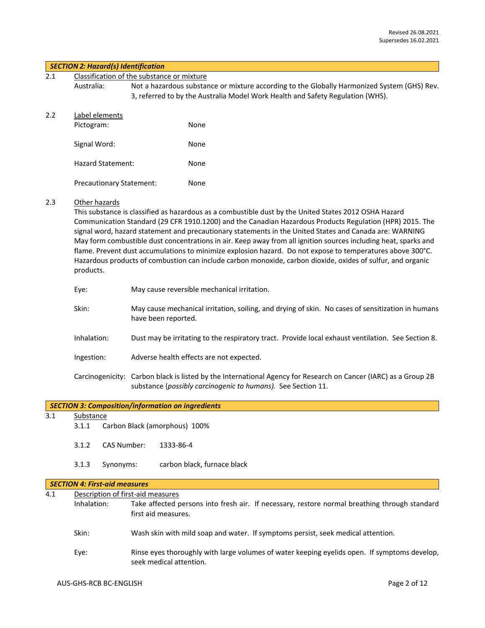#### *SECTION 2: Hazard(s) Identification*

| 2.1 | Classification of the substance or mixture |  |      |                                                                                |                                                                                             |
|-----|--------------------------------------------|--|------|--------------------------------------------------------------------------------|---------------------------------------------------------------------------------------------|
|     | Australia:                                 |  |      | 3, referred to by the Australia Model Work Health and Safety Regulation (WHS). | Not a hazardous substance or mixture according to the Globally Harmonized System (GHS) Rev. |
| 2.2 | Label elements                             |  |      |                                                                                |                                                                                             |
|     | Pictogram:                                 |  | None |                                                                                |                                                                                             |
|     | Signal Word:                               |  | None |                                                                                |                                                                                             |
|     | Hazard Statement:                          |  | None |                                                                                |                                                                                             |
|     | <b>Precautionary Statement:</b>            |  | None |                                                                                |                                                                                             |
|     |                                            |  |      |                                                                                |                                                                                             |

## 2.3 Other hazards

This substance is classified as hazardous as a combustible dust by the United States 2012 OSHA Hazard Communication Standard (29 CFR 1910.1200) and the Canadian Hazardous Products Regulation (HPR) 2015. The signal word, hazard statement and precautionary statements in the United States and Canada are: WARNING May form combustible dust concentrations in air. Keep away from all ignition sources including heat, sparks and flame. Prevent dust accumulations to minimize explosion hazard. Do not expose to temperatures above 300°C. Hazardous products of combustion can include carbon monoxide, carbon dioxide, oxides of sulfur, and organic products.

| Eye:        | May cause reversible mechanical irritation.                                                                                                                                     |
|-------------|---------------------------------------------------------------------------------------------------------------------------------------------------------------------------------|
| Skin:       | May cause mechanical irritation, soiling, and drying of skin. No cases of sensitization in humans<br>have been reported.                                                        |
| Inhalation: | Dust may be irritating to the respiratory tract. Provide local exhaust ventilation. See Section 8.                                                                              |
| Ingestion:  | Adverse health effects are not expected.                                                                                                                                        |
|             | Carcinogenicity: Carbon black is listed by the International Agency for Research on Cancer (IARC) as a Group 2B<br>substance (possibly carcinogenic to humans). See Section 11. |

|  | SECTION 3: Composition/information on ingredients |
|--|---------------------------------------------------|
|--|---------------------------------------------------|

## 3.1 Substance

- 3.1.1 Carbon Black (amorphous) 100%
- 3.1.2 CAS Number: 1333-86-4
- 3.1.3 Synonyms: carbon black, furnace black

## *SECTION 4: First-aid measures*

| 4.1 |             | Description of first-aid measures                                                                                       |  |  |
|-----|-------------|-------------------------------------------------------------------------------------------------------------------------|--|--|
|     | Inhalation: | Take affected persons into fresh air. If necessary, restore normal breathing through standard<br>first aid measures.    |  |  |
|     | Skin:       | Wash skin with mild soap and water. If symptoms persist, seek medical attention.                                        |  |  |
|     | Eye:        | Rinse eyes thoroughly with large volumes of water keeping eyelids open. If symptoms develop,<br>seek medical attention. |  |  |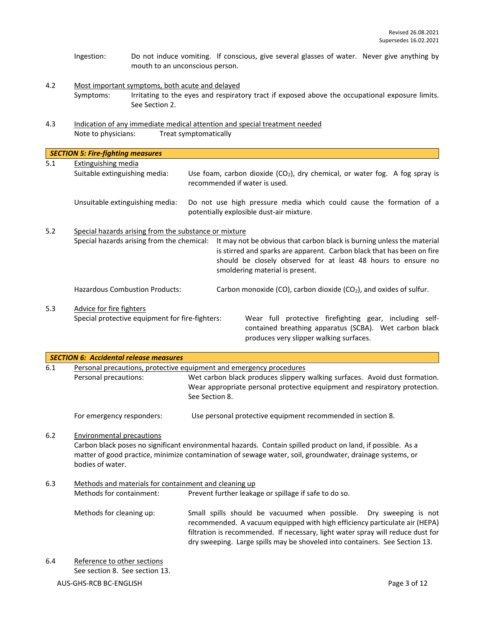- Ingestion: Do not induce vomiting. If conscious, give several glasses of water. Never give anything by mouth to an unconscious person.
- 4.2 Most important symptoms, both acute and delayed Symptoms: Irritating to the eyes and respiratory tract if exposed above the occupational exposure limits. See Section 2.
- 4.3 Indication of any immediate medical attention and special treatment needed Note to physicians: Treat symptomatically

|     | <b>SECTION 5: Fire-fighting measures</b>                                                            |                                                                                                                                                                                                                                                      |
|-----|-----------------------------------------------------------------------------------------------------|------------------------------------------------------------------------------------------------------------------------------------------------------------------------------------------------------------------------------------------------------|
| 5.1 | Extinguishing media<br>Suitable extinguishing media:                                                | Use foam, carbon dioxide $(CO2)$ , dry chemical, or water fog. A fog spray is<br>recommended if water is used.                                                                                                                                       |
|     | Unsuitable extinguishing media:                                                                     | Do not use high pressure media which could cause the formation of a<br>potentially explosible dust-air mixture.                                                                                                                                      |
| 5.2 | Special hazards arising from the substance or mixture<br>Special hazards arising from the chemical: | It may not be obvious that carbon black is burning unless the material<br>is stirred and sparks are apparent. Carbon black that has been on fire<br>should be closely observed for at least 48 hours to ensure no<br>smoldering material is present. |
|     | <b>Hazardous Combustion Products:</b>                                                               | Carbon monoxide (CO), carbon dioxide (CO <sub>2</sub> ), and oxides of sulfur.                                                                                                                                                                       |
| 5.3 | Advice for fire fighters<br>Special protective equipment for fire-fighters:                         | Wear full protective firefighting gear, including self-<br>contained breathing apparatus (SCBA). Wet carbon black<br>produces very slipper walking surfaces.                                                                                         |

| <b>SECTION 6: Accidental release measures</b> |                                                               |                                                                                                                                                                                                                                                                                                                    |  |
|-----------------------------------------------|---------------------------------------------------------------|--------------------------------------------------------------------------------------------------------------------------------------------------------------------------------------------------------------------------------------------------------------------------------------------------------------------|--|
| 6.1                                           |                                                               | Personal precautions, protective equipment and emergency procedures                                                                                                                                                                                                                                                |  |
|                                               | Personal precautions:                                         | Wet carbon black produces slippery walking surfaces. Avoid dust formation.<br>Wear appropriate personal protective equipment and respiratory protection.<br>See Section 8.                                                                                                                                         |  |
|                                               | For emergency responders:                                     | Use personal protective equipment recommended in section 8.                                                                                                                                                                                                                                                        |  |
| 6.2                                           | Environmental precautions<br>bodies of water.                 | Carbon black poses no significant environmental hazards. Contain spilled product on land, if possible. As a<br>matter of good practice, minimize contamination of sewage water, soil, groundwater, drainage systems, or                                                                                            |  |
| 6.3                                           | Methods and materials for containment and cleaning up         |                                                                                                                                                                                                                                                                                                                    |  |
|                                               | Methods for containment:                                      | Prevent further leakage or spillage if safe to do so.                                                                                                                                                                                                                                                              |  |
|                                               | Methods for cleaning up:                                      | Small spills should be vacuumed when possible. Dry sweeping is not<br>recommended. A vacuum equipped with high efficiency particulate air (HEPA)<br>filtration is recommended. If necessary, light water spray will reduce dust for<br>dry sweeping. Large spills may be shoveled into containers. See Section 13. |  |
| 6.4                                           | Reference to other sections<br>See section 8. See section 13. |                                                                                                                                                                                                                                                                                                                    |  |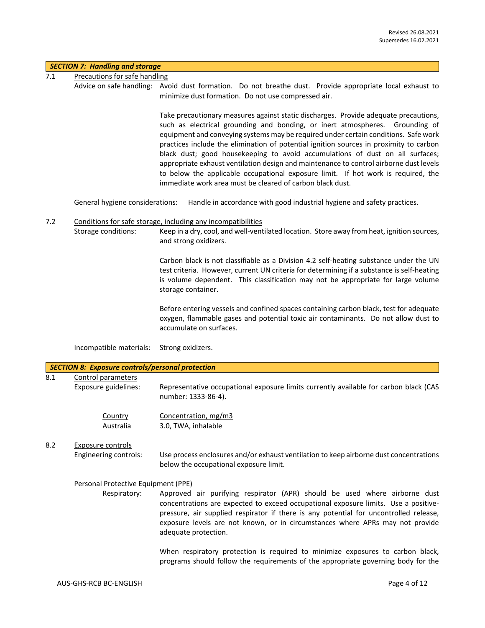## *SECTION 7: Handling and storage*

- 7.1 Precautions for safe handling
	- Advice on safe handling: Avoid dust formation. Do not breathe dust. Provide appropriate local exhaust to minimize dust formation. Do not use compressed air.

Take precautionary measures against static discharges. Provide adequate precautions, such as electrical grounding and bonding, or inert atmospheres. Grounding of equipment and conveying systems may be required under certain conditions. Safe work practices include the elimination of potential ignition sources in proximity to carbon black dust; good housekeeping to avoid accumulations of dust on all surfaces; appropriate exhaust ventilation design and maintenance to control airborne dust levels to below the applicable occupational exposure limit. If hot work is required, the immediate work area must be cleared of carbon black dust.

General hygiene considerations: Handle in accordance with good industrial hygiene and safety practices.

7.2 Conditions for safe storage, including any incompatibilities Storage conditions: Keep in a dry, cool, and well-ventilated location. Store away from heat, ignition sources, and strong oxidizers.

> Carbon black is not classifiable as a Division 4.2 self-heating substance under the UN test criteria. However, current UN criteria for determining if a substance is self-heating is volume dependent. This classification may not be appropriate for large volume storage container.

> Before entering vessels and confined spaces containing carbon black, test for adequate oxygen, flammable gases and potential toxic air contaminants. Do not allow dust to accumulate on surfaces.

Incompatible materials: Strong oxidizers.

|     | <b>SECTION 8: Exposure controls/personal protection</b> |                                                                                                                                                                                                                                                                                                                                                                     |
|-----|---------------------------------------------------------|---------------------------------------------------------------------------------------------------------------------------------------------------------------------------------------------------------------------------------------------------------------------------------------------------------------------------------------------------------------------|
| 8.1 | Control parameters<br>Exposure guidelines:              | Representative occupational exposure limits currently available for carbon black (CAS<br>number: 1333-86-4).                                                                                                                                                                                                                                                        |
|     | Country<br>Australia                                    | Concentration, mg/m3<br>3.0, TWA, inhalable                                                                                                                                                                                                                                                                                                                         |
| 8.2 | Exposure controls<br>Engineering controls:              | Use process enclosures and/or exhaust ventilation to keep airborne dust concentrations<br>below the occupational exposure limit.                                                                                                                                                                                                                                    |
|     | Personal Protective Equipment (PPE)                     |                                                                                                                                                                                                                                                                                                                                                                     |
|     | Respiratory:                                            | Approved air purifying respirator (APR) should be used where airborne dust<br>concentrations are expected to exceed occupational exposure limits. Use a positive-<br>pressure, air supplied respirator if there is any potential for uncontrolled release,<br>exposure levels are not known, or in circumstances where APRs may not provide<br>adequate protection. |
|     |                                                         | When respiratory protection is required to minimize exposures to carbon black,<br>programs should follow the requirements of the appropriate governing body for the                                                                                                                                                                                                 |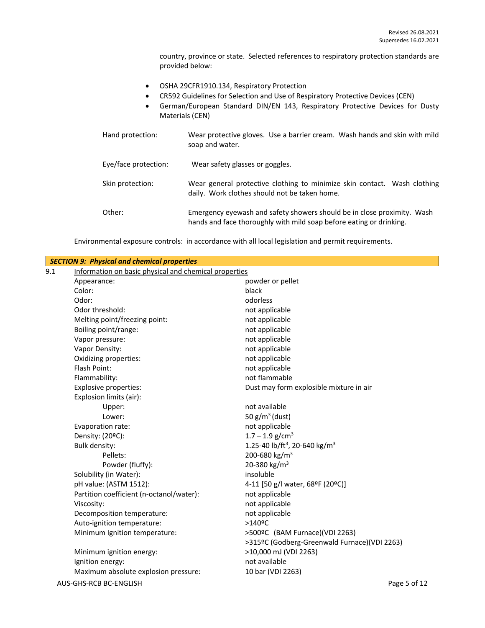country, province or state. Selected references to respiratory protection standards are provided below:

- OSHA 29CFR1910.134, Respiratory Protection
- CR592 Guidelines for Selection and Use of Respiratory Protective Devices (CEN)
- German/European Standard DIN/EN 143, Respiratory Protective Devices for Dusty Materials (CEN)

| Hand protection:     | Wear protective gloves. Use a barrier cream. Wash hands and skin with mild<br>soap and water.                                                  |
|----------------------|------------------------------------------------------------------------------------------------------------------------------------------------|
| Eye/face protection: | Wear safety glasses or goggles.                                                                                                                |
| Skin protection:     | Wear general protective clothing to minimize skin contact. Wash clothing<br>daily. Work clothes should not be taken home.                      |
| Other:               | Emergency eyewash and safety showers should be in close proximity. Wash<br>hands and face thoroughly with mild soap before eating or drinking. |

Environmental exposure controls: in accordance with all local legislation and permit requirements.

|                                                              | <b>SECTION 9: Physical and chemical properties</b> |                                                       |  |  |
|--------------------------------------------------------------|----------------------------------------------------|-------------------------------------------------------|--|--|
| 9.1<br>Information on basic physical and chemical properties |                                                    |                                                       |  |  |
|                                                              | Appearance:                                        | powder or pellet                                      |  |  |
|                                                              | Color:                                             | black                                                 |  |  |
|                                                              | Odor:                                              | odorless                                              |  |  |
|                                                              | Odor threshold:                                    | not applicable                                        |  |  |
|                                                              | Melting point/freezing point:                      | not applicable                                        |  |  |
|                                                              | Boiling point/range:                               | not applicable                                        |  |  |
|                                                              | Vapor pressure:                                    | not applicable                                        |  |  |
|                                                              | Vapor Density:                                     | not applicable                                        |  |  |
|                                                              | Oxidizing properties:                              | not applicable                                        |  |  |
|                                                              | Flash Point:                                       | not applicable                                        |  |  |
|                                                              | Flammability:                                      | not flammable                                         |  |  |
|                                                              | Explosive properties:                              | Dust may form explosible mixture in air               |  |  |
|                                                              | Explosion limits (air):                            |                                                       |  |  |
|                                                              | Upper:                                             | not available                                         |  |  |
|                                                              | Lower:                                             | 50 $g/m^3$ (dust)                                     |  |  |
|                                                              | Evaporation rate:                                  | not applicable                                        |  |  |
|                                                              | Density: (20°C):                                   | $1.7 - 1.9$ g/cm <sup>3</sup>                         |  |  |
|                                                              | <b>Bulk density:</b>                               | 1.25-40 lb/ft <sup>3</sup> , 20-640 kg/m <sup>3</sup> |  |  |
|                                                              | Pellets:                                           | 200-680 kg/m <sup>3</sup>                             |  |  |
|                                                              | Powder (fluffy):                                   | 20-380 kg/m <sup>3</sup>                              |  |  |
|                                                              | Solubility (in Water):                             | insoluble                                             |  |  |
|                                                              | pH value: (ASTM 1512):                             | 4-11 [50 g/l water, 68ºF (20ºC)]                      |  |  |
|                                                              | Partition coefficient (n-octanol/water):           | not applicable                                        |  |  |
|                                                              | Viscosity:                                         | not applicable                                        |  |  |
|                                                              | Decomposition temperature:                         | not applicable                                        |  |  |
|                                                              | Auto-ignition temperature:                         | $>140$ <sup>o</sup> C                                 |  |  |
|                                                              | Minimum Ignition temperature:                      | >500ºC (BAM Furnace)(VDI 2263)                        |  |  |
|                                                              |                                                    | >315ºC (Godberg-Greenwald Furnace)(VDI 2263)          |  |  |
|                                                              | Minimum ignition energy:                           | >10,000 mJ (VDI 2263)                                 |  |  |
|                                                              | Ignition energy:                                   | not available                                         |  |  |
|                                                              | Maximum absolute explosion pressure:               | 10 bar (VDI 2263)                                     |  |  |
|                                                              | AUS-GHS-RCB BC-ENGLISH                             | Page 5 of 12                                          |  |  |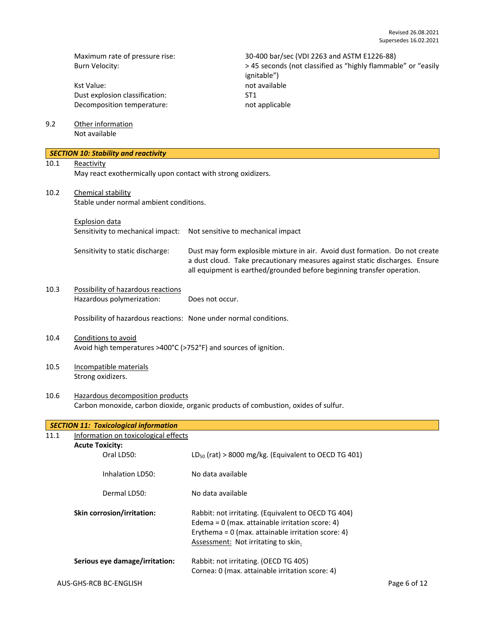Kst Value: not available Dust explosion classification: ST1<br>Decomposition temperature: National Management of applicable Decomposition temperature:

Maximum rate of pressure rise: 30-400 bar/sec (VDI 2263 and ASTM E1226-88)<br>Burn Velocity: 38 seconds (not classified as "highly flammab" > 45 seconds (not classified as "highly flammab > 45 seconds (not classified as "highly flammable" or "easily ignitable")

9.2 Other information Not available

|      | <b>SECTION 10: Stability and reactivity</b>                                                                            |                                                                              |  |  |
|------|------------------------------------------------------------------------------------------------------------------------|------------------------------------------------------------------------------|--|--|
| 10.1 | Reactivity                                                                                                             |                                                                              |  |  |
|      | May react exothermically upon contact with strong oxidizers.                                                           |                                                                              |  |  |
|      |                                                                                                                        |                                                                              |  |  |
| 10.2 | <b>Chemical stability</b>                                                                                              |                                                                              |  |  |
|      | Stable under normal ambient conditions.                                                                                |                                                                              |  |  |
|      | <b>Explosion data</b>                                                                                                  |                                                                              |  |  |
|      | Sensitivity to mechanical impact:                                                                                      |                                                                              |  |  |
|      |                                                                                                                        | Not sensitive to mechanical impact                                           |  |  |
|      | Sensitivity to static discharge:                                                                                       | Dust may form explosible mixture in air. Avoid dust formation. Do not create |  |  |
|      |                                                                                                                        | a dust cloud. Take precautionary measures against static discharges. Ensure  |  |  |
|      |                                                                                                                        | all equipment is earthed/grounded before beginning transfer operation.       |  |  |
|      |                                                                                                                        |                                                                              |  |  |
| 10.3 | Possibility of hazardous reactions                                                                                     |                                                                              |  |  |
|      | Hazardous polymerization:                                                                                              | Does not occur.                                                              |  |  |
|      | Possibility of hazardous reactions: None under normal conditions.                                                      |                                                                              |  |  |
|      |                                                                                                                        |                                                                              |  |  |
| 10.4 | Conditions to avoid                                                                                                    |                                                                              |  |  |
|      | Avoid high temperatures >400°C (>752°F) and sources of ignition.                                                       |                                                                              |  |  |
|      |                                                                                                                        |                                                                              |  |  |
| 10.5 | Incompatible materials                                                                                                 |                                                                              |  |  |
|      | Strong oxidizers.                                                                                                      |                                                                              |  |  |
|      |                                                                                                                        |                                                                              |  |  |
| 10.6 | Hazardous decomposition products<br>Carbon monoxide, carbon dioxide, organic products of combustion, oxides of sulfur. |                                                                              |  |  |
|      |                                                                                                                        |                                                                              |  |  |
|      | <b>SECTION 11: Toxicological information</b>                                                                           |                                                                              |  |  |
| 11.1 | Information on toxicological effects                                                                                   |                                                                              |  |  |
|      | <b>Acute Toxicity:</b>                                                                                                 |                                                                              |  |  |
|      | Oral LD50:                                                                                                             | $LD_{50}$ (rat) > 8000 mg/kg. (Equivalent to OECD TG 401)                    |  |  |
|      | Inhalation LD50:                                                                                                       | No data available                                                            |  |  |
|      |                                                                                                                        |                                                                              |  |  |
|      | Dermal LD50:                                                                                                           | No data available                                                            |  |  |
|      |                                                                                                                        |                                                                              |  |  |
|      | Skin corrosion/irritation:                                                                                             | Rabbit: not irritating. (Equivalent to OECD TG 404)                          |  |  |
|      |                                                                                                                        | Edema = $0$ (max. attainable irritation score: 4)                            |  |  |
|      |                                                                                                                        | Erythema = $0$ (max. attainable irritation score: 4)                         |  |  |
|      |                                                                                                                        | Assessment: Not irritating to skin.                                          |  |  |
|      | Serious eye damage/irritation:                                                                                         | Rabbit: not irritating. (OECD TG 405)                                        |  |  |
|      |                                                                                                                        | Cornea: 0 (max. attainable irritation score: 4)                              |  |  |
|      | AUS-GHS-RCB BC-ENGLISH                                                                                                 | Page 6 of 12                                                                 |  |  |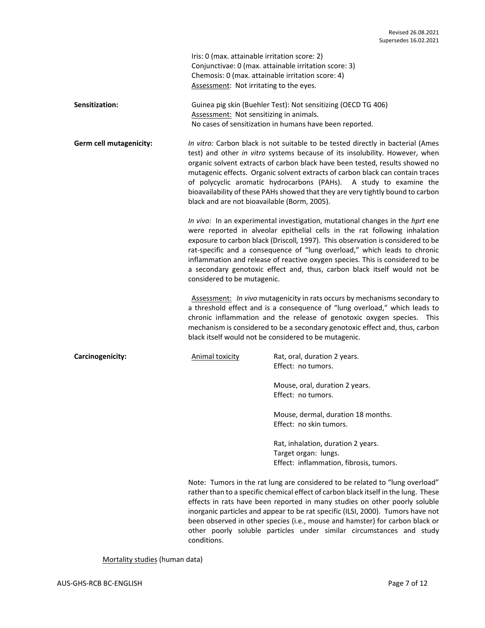|                                | Iris: 0 (max. attainable irritation score: 2)<br>Chemosis: 0 (max. attainable irritation score: 4)<br>Assessment: Not irritating to the eyes.                                                                                                                                                                                                                                                                                                                                                                           | Conjunctivae: 0 (max. attainable irritation score: 3)                                                                                                                                                                                                                                                                                                                                                                                                                                        |  |  |
|--------------------------------|-------------------------------------------------------------------------------------------------------------------------------------------------------------------------------------------------------------------------------------------------------------------------------------------------------------------------------------------------------------------------------------------------------------------------------------------------------------------------------------------------------------------------|----------------------------------------------------------------------------------------------------------------------------------------------------------------------------------------------------------------------------------------------------------------------------------------------------------------------------------------------------------------------------------------------------------------------------------------------------------------------------------------------|--|--|
| Sensitization:                 | Assessment: Not sensitizing in animals.                                                                                                                                                                                                                                                                                                                                                                                                                                                                                 | Guinea pig skin (Buehler Test): Not sensitizing (OECD TG 406)<br>No cases of sensitization in humans have been reported.                                                                                                                                                                                                                                                                                                                                                                     |  |  |
| <b>Germ cell mutagenicity:</b> | black and are not bioavailable (Borm, 2005).                                                                                                                                                                                                                                                                                                                                                                                                                                                                            | In vitro: Carbon black is not suitable to be tested directly in bacterial (Ames<br>test) and other in vitro systems because of its insolubility. However, when<br>organic solvent extracts of carbon black have been tested, results showed no<br>mutagenic effects. Organic solvent extracts of carbon black can contain traces<br>of polycyclic aromatic hydrocarbons (PAHs). A study to examine the<br>bioavailability of these PAHs showed that they are very tightly bound to carbon    |  |  |
|                                | In vivo: In an experimental investigation, mutational changes in the hprt ene<br>were reported in alveolar epithelial cells in the rat following inhalation<br>exposure to carbon black (Driscoll, 1997). This observation is considered to be<br>rat-specific and a consequence of "lung overload," which leads to chronic<br>inflammation and release of reactive oxygen species. This is considered to be<br>a secondary genotoxic effect and, thus, carbon black itself would not be<br>considered to be mutagenic. |                                                                                                                                                                                                                                                                                                                                                                                                                                                                                              |  |  |
|                                | Assessment: In vivo mutagenicity in rats occurs by mechanisms secondary to<br>a threshold effect and is a consequence of "lung overload," which leads to<br>chronic inflammation and the release of genotoxic oxygen species. This<br>mechanism is considered to be a secondary genotoxic effect and, thus, carbon<br>black itself would not be considered to be mutagenic.                                                                                                                                             |                                                                                                                                                                                                                                                                                                                                                                                                                                                                                              |  |  |
| Carcinogenicity:               | <b>Animal toxicity</b>                                                                                                                                                                                                                                                                                                                                                                                                                                                                                                  | Rat, oral, duration 2 years.<br>Effect: no tumors.                                                                                                                                                                                                                                                                                                                                                                                                                                           |  |  |
|                                |                                                                                                                                                                                                                                                                                                                                                                                                                                                                                                                         | Mouse, oral, duration 2 years.<br>Effect: no tumors.                                                                                                                                                                                                                                                                                                                                                                                                                                         |  |  |
|                                |                                                                                                                                                                                                                                                                                                                                                                                                                                                                                                                         | Mouse, dermal, duration 18 months.<br>Effect: no skin tumors.                                                                                                                                                                                                                                                                                                                                                                                                                                |  |  |
|                                |                                                                                                                                                                                                                                                                                                                                                                                                                                                                                                                         | Rat, inhalation, duration 2 years.<br>Target organ: lungs.<br>Effect: inflammation, fibrosis, tumors.                                                                                                                                                                                                                                                                                                                                                                                        |  |  |
|                                | conditions.                                                                                                                                                                                                                                                                                                                                                                                                                                                                                                             | Note: Tumors in the rat lung are considered to be related to "lung overload"<br>rather than to a specific chemical effect of carbon black itself in the lung. These<br>effects in rats have been reported in many studies on other poorly soluble<br>inorganic particles and appear to be rat specific (ILSI, 2000). Tumors have not<br>been observed in other species (i.e., mouse and hamster) for carbon black or<br>other poorly soluble particles under similar circumstances and study |  |  |

Mortality studies (human data)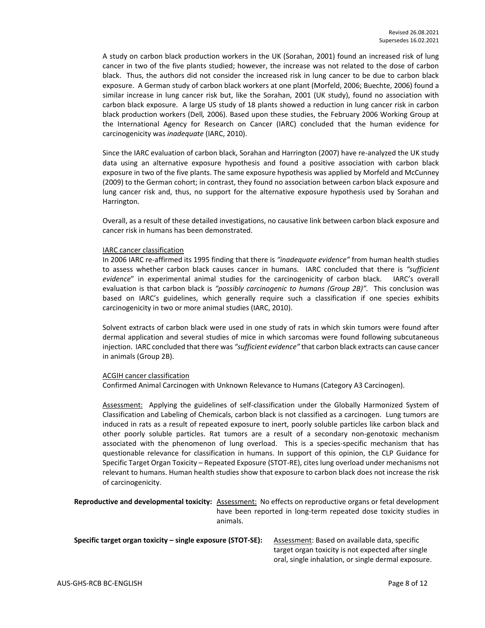A study on carbon black production workers in the UK (Sorahan, 2001) found an increased risk of lung cancer in two of the five plants studied; however, the increase was not related to the dose of carbon black. Thus, the authors did not consider the increased risk in lung cancer to be due to carbon black exposure. A German study of carbon black workers at one plant (Morfeld, 2006; Buechte, 2006) found a similar increase in lung cancer risk but, like the Sorahan, 2001 (UK study), found no association with carbon black exposure. A large US study of 18 plants showed a reduction in lung cancer risk in carbon black production workers (Dell*,* 2006). Based upon these studies, the February 2006 Working Group at the International Agency for Research on Cancer (IARC) concluded that the human evidence for carcinogenicity was *inadequate* (IARC, 2010).

Since the IARC evaluation of carbon black, Sorahan and Harrington (2007) have re-analyzed the UK study data using an alternative exposure hypothesis and found a positive association with carbon black exposure in two of the five plants. The same exposure hypothesis was applied by Morfeld and McCunney (2009) to the German cohort; in contrast, they found no association between carbon black exposure and lung cancer risk and, thus, no support for the alternative exposure hypothesis used by Sorahan and Harrington.

Overall, as a result of these detailed investigations, no causative link between carbon black exposure and cancer risk in humans has been demonstrated.

#### IARC cancer classification

In 2006 IARC re-affirmed its 1995 finding that there is *"inadequate evidence"* from human health studies to assess whether carbon black causes cancer in humans. IARC concluded that there is *"sufficient evidence*" in experimental animal studies for the carcinogenicity of carbon black. IARC's overall evaluation is that carbon black is *"possibly carcinogenic to humans (Group 2B)".* This conclusion was based on IARC's guidelines, which generally require such a classification if one species exhibits carcinogenicity in two or more animal studies (IARC, 2010).

Solvent extracts of carbon black were used in one study of rats in which skin tumors were found after dermal application and several studies of mice in which sarcomas were found following subcutaneous injection. IARC concluded that there was *"sufficient evidence"* that carbon black extracts can cause cancer in animals (Group 2B).

## ACGIH cancer classification

Confirmed Animal Carcinogen with Unknown Relevance to Humans (Category A3 Carcinogen).

Assessment: Applying the guidelines of self-classification under the Globally Harmonized System of Classification and Labeling of Chemicals, carbon black is not classified as a carcinogen. Lung tumors are induced in rats as a result of repeated exposure to inert, poorly soluble particles like carbon black and other poorly soluble particles. Rat tumors are a result of a secondary non-genotoxic mechanism associated with the phenomenon of lung overload. This is a species-specific mechanism that has questionable relevance for classification in humans. In support of this opinion, the CLP Guidance for Specific Target Organ Toxicity – Repeated Exposure (STOT-RE), cites lung overload under mechanisms not relevant to humans. Human health studies show that exposure to carbon black does not increase the risk of carcinogenicity.

**Reproductive and developmental toxicity:** Assessment: No effects on reproductive organs or fetal development have been reported in long-term repeated dose toxicity studies in animals.

| Specific target organ toxicity – single exposure (STOT-SE): | Assessment: Based on available data, specific       |  |
|-------------------------------------------------------------|-----------------------------------------------------|--|
|                                                             | target organ toxicity is not expected after single  |  |
|                                                             | oral, single inhalation, or single dermal exposure. |  |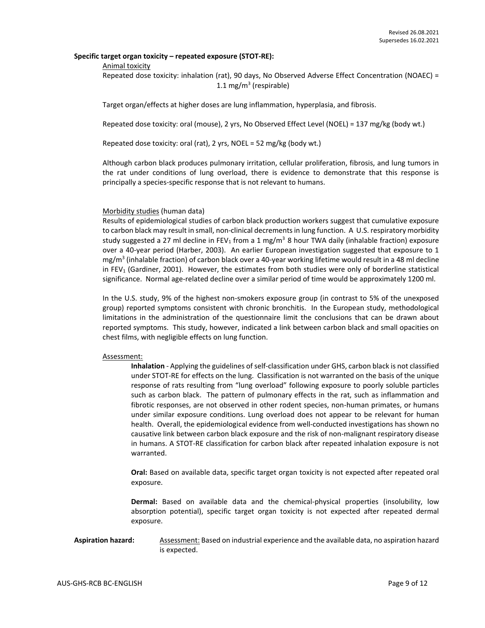## **Specific target organ toxicity – repeated exposure (STOT-RE):**

#### Animal toxicity

Repeated dose toxicity: inhalation (rat), 90 days, No Observed Adverse Effect Concentration (NOAEC) = 1.1 mg/m<sup>3</sup> (respirable)

Target organ/effects at higher doses are lung inflammation, hyperplasia, and fibrosis.

Repeated dose toxicity: oral (mouse), 2 yrs, No Observed Effect Level (NOEL) = 137 mg/kg (body wt.)

Repeated dose toxicity: oral (rat), 2 yrs, NOEL = 52 mg/kg (body wt.)

Although carbon black produces pulmonary irritation, cellular proliferation, fibrosis, and lung tumors in the rat under conditions of lung overload, there is evidence to demonstrate that this response is principally a species-specific response that is not relevant to humans.

#### Morbidity studies (human data)

Results of epidemiological studies of carbon black production workers suggest that cumulative exposure to carbon black may result in small, non-clinical decrements in lung function. A U.S. respiratory morbidity study suggested a 27 ml decline in FEV<sub>1</sub> from a 1 mg/m<sup>3</sup> 8 hour TWA daily (inhalable fraction) exposure over a 40-year period (Harber, 2003). An earlier European investigation suggested that exposure to 1 mg/m<sup>3</sup> (inhalable fraction) of carbon black over a 40-year working lifetime would result in a 48 ml decline in FEV<sub>1</sub> (Gardiner, 2001). However, the estimates from both studies were only of borderline statistical significance. Normal age-related decline over a similar period of time would be approximately 1200 ml.

In the U.S. study, 9% of the highest non-smokers exposure group (in contrast to 5% of the unexposed group) reported symptoms consistent with chronic bronchitis. In the European study, methodological limitations in the administration of the questionnaire limit the conclusions that can be drawn about reported symptoms. This study, however, indicated a link between carbon black and small opacities on chest films, with negligible effects on lung function.

#### Assessment:

**Inhalation** - Applying the guidelines of self-classification under GHS, carbon black is not classified under STOT-RE for effects on the lung. Classification is not warranted on the basis of the unique response of rats resulting from "lung overload" following exposure to poorly soluble particles such as carbon black. The pattern of pulmonary effects in the rat, such as inflammation and fibrotic responses, are not observed in other rodent species, non-human primates, or humans under similar exposure conditions. Lung overload does not appear to be relevant for human health. Overall, the epidemiological evidence from well-conducted investigations has shown no causative link between carbon black exposure and the risk of non-malignant respiratory disease in humans. A STOT-RE classification for carbon black after repeated inhalation exposure is not warranted.

**Oral:** Based on available data, specific target organ toxicity is not expected after repeated oral exposure.

**Dermal:** Based on available data and the chemical-physical properties (insolubility, low absorption potential), specific target organ toxicity is not expected after repeated dermal exposure.

## Aspiration hazard: Assessment: Based on industrial experience and the available data, no aspiration hazard is expected.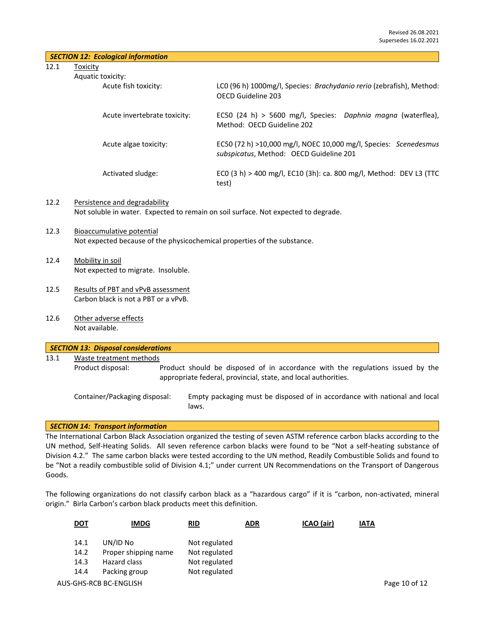12.1 Toxicity

| Aquatic toxi |  |
|--------------|--|
|              |  |

| tic toxicity:                |                                                                                                             |
|------------------------------|-------------------------------------------------------------------------------------------------------------|
| Acute fish toxicity:         | LCO (96 h) 1000mg/l, Species: Brachydanio rerio (zebrafish), Method:<br>OFCD Guideline 203                  |
| Acute invertebrate toxicity: | EC50 (24 h) > 5600 mg/l, Species: Daphnia magna (waterflea),<br>Method: OECD Guideline 202                  |
| Acute algae toxicity:        | EC50 (72 h) >10,000 mg/l, NOEC 10,000 mg/l, Species: Scenedesmus<br>subspicatus, Method: OECD Guideline 201 |
| Activated sludge:            | ECO (3 h) > 400 mg/l, EC10 (3h): ca. 800 mg/l, Method: DEV L3 (TTC<br>test)                                 |

## 12.2 Persistence and degradability Not soluble in water. Expected to remain on soil surface. Not expected to degrade.

- 12.3 Bioaccumulative potential Not expected because of the physicochemical properties of the substance.
- 12.4 Mobility in soil Not expected to migrate. Insoluble.
- 12.5 Results of PBT and vPvB assessment Carbon black is not a PBT or a vPvB.
- 12.6 Other adverse effects Not available.

|      | <b>SECTION 13: Disposal considerations</b> |                                                                                                                                                  |
|------|--------------------------------------------|--------------------------------------------------------------------------------------------------------------------------------------------------|
| 13.1 | Waste treatment methods                    |                                                                                                                                                  |
|      | Product disposal:                          | Product should be disposed of in accordance with the regulations issued by the<br>appropriate federal, provincial, state, and local authorities. |
|      | Container/Packaging disposal:              | Empty packaging must be disposed of in accordance with national and local<br>laws.                                                               |

## *SECTION 14: Transport information*

The International Carbon Black Association organized the testing of seven ASTM reference carbon blacks according to the UN method, Self-Heating Solids. All seven reference carbon blacks were found to be "Not a self-heating substance of Division 4.2." The same carbon blacks were tested according to the UN method, Readily Combustible Solids and found to be "Not a readily combustible solid of Division 4.1;" under current UN Recommendations on the Transport of Dangerous Goods.

The following organizations do not classify carbon black as a "hazardous cargo" if it is "carbon, non-activated, mineral origin." Birla Carbon's carbon black products meet this definition.

| <u>DOT</u> | <b>IMDG</b>            | RID           | <b>ADR</b> | ICAO (air) | <b>IATA</b> |               |
|------------|------------------------|---------------|------------|------------|-------------|---------------|
| 14.1       | UN/ID No               | Not regulated |            |            |             |               |
| 14.2       | Proper shipping name   | Not regulated |            |            |             |               |
| 14.3       | Hazard class           | Not regulated |            |            |             |               |
| 14.4       | Packing group          | Not regulated |            |            |             |               |
|            | AUS-GHS-RCB BC-ENGLISH |               |            |            |             | Page 10 of 12 |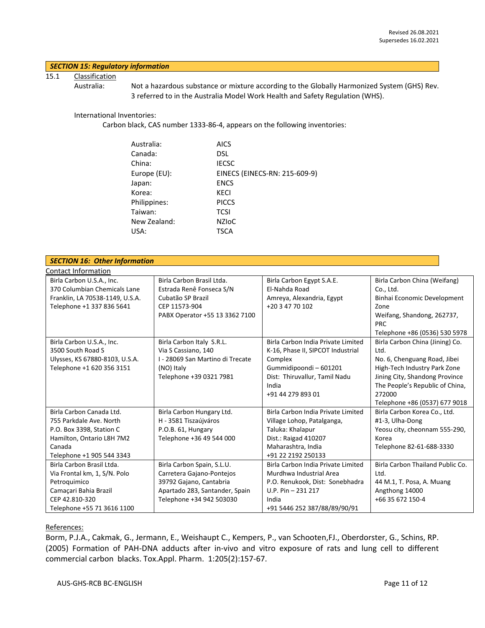## *SECTION 15: Regulatory information*

## 15.1 Classification

Australia: Not a hazardous substance or mixture according to the Globally Harmonized System (GHS) Rev. 3 referred to in the Australia Model Work Health and Safety Regulation (WHS).

#### International Inventories:

Carbon black, CAS number 1333-86-4, appears on the following inventories:

| Australia:   | AICS                          |
|--------------|-------------------------------|
| Canada:      | DSL                           |
| China:       | <b>IECSC</b>                  |
| Europe (EU): | EINECS (EINECS-RN: 215-609-9) |
| Japan:       | <b>ENCS</b>                   |
| Korea:       | KECI                          |
| Philippines: | <b>PICCS</b>                  |
| Taiwan:      | <b>TCSI</b>                   |
| New Zealand: | <b>NZIOC</b>                  |
| USA:         | <b>TSCA</b>                   |
|              |                               |

| <b>SECTION 16: Other Information</b>                                                                                                                |                                                                                                                                                  |                                                                                                                                                                             |                                                                                                                                                                                                                         |  |  |
|-----------------------------------------------------------------------------------------------------------------------------------------------------|--------------------------------------------------------------------------------------------------------------------------------------------------|-----------------------------------------------------------------------------------------------------------------------------------------------------------------------------|-------------------------------------------------------------------------------------------------------------------------------------------------------------------------------------------------------------------------|--|--|
| Contact Information                                                                                                                                 |                                                                                                                                                  |                                                                                                                                                                             |                                                                                                                                                                                                                         |  |  |
| Birla Carbon U.S.A., Inc.<br>370 Columbian Chemicals Lane                                                                                           | Birla Carbon Brasil Ltda.<br>Estrada Renê Fonseca S/N                                                                                            | Birla Carbon Egypt S.A.E.<br>El-Nahda Road                                                                                                                                  | Birla Carbon China (Weifang)<br>Co., Ltd.                                                                                                                                                                               |  |  |
| Franklin, LA 70538-1149, U.S.A.<br>Telephone +1 337 836 5641                                                                                        | Cubatão SP Brazil<br>CEP 11573-904<br>PABX Operator +55 13 3362 7100                                                                             | Amreya, Alexandria, Egypt<br>+20 3 47 70 102                                                                                                                                | Binhai Economic Development<br>Zone<br>Weifang, Shandong, 262737,<br><b>PRC</b><br>Telephone +86 (0536) 530 5978                                                                                                        |  |  |
| Birla Carbon U.S.A., Inc.<br>3500 South Road S<br>Ulysses, KS 67880-8103, U.S.A.<br>Telephone +1 620 356 3151                                       | Birla Carbon Italy S.R.L.<br>Via S Cassiano, 140<br>I - 28069 San Martino di Trecate<br>(NO) Italy<br>Telephone +39 0321 7981                    | Birla Carbon India Private Limited<br>K-16, Phase II, SIPCOT Industrial<br>Complex<br>Gummidipoondi - 601201<br>Dist: Thiruvallur, Tamil Nadu<br>India<br>+91 44 279 893 01 | Birla Carbon China (Jining) Co.<br>Ltd.<br>No. 6, Chenguang Road, Jibei<br>High-Tech Industry Park Zone<br>Jining City, Shandong Province<br>The People's Republic of China,<br>272000<br>Telephone +86 (0537) 677 9018 |  |  |
| Birla Carbon Canada Ltd.<br>755 Parkdale Ave. North<br>P.O. Box 3398, Station C<br>Hamilton, Ontario L8H 7M2<br>Canada<br>Telephone +1 905 544 3343 | Birla Carbon Hungary Ltd.<br>H - 3581 Tiszaújváros<br>P.O.B. 61, Hungary<br>Telephone +36 49 544 000                                             | Birla Carbon India Private Limited<br>Village Lohop, Patalganga,<br>Taluka: Khalapur<br>Dist.: Raigad 410207<br>Maharashtra, India<br>+91 22 2192 250133                    | Birla Carbon Korea Co., Ltd.<br>#1-3, Ulha-Dong<br>Yeosu city, cheonnam 555-290,<br>Korea<br>Telephone 82-61-688-3330                                                                                                   |  |  |
| Birla Carbon Brasil Ltda.<br>Via Frontal km, 1, S/N. Polo<br>Petroquimico<br>Camaçari Bahia Brazil<br>CEP 42.810-320<br>Telephone +55 71 3616 1100  | Birla Carbon Spain, S.L.U.<br>Carretera Gajano-Pontejos<br>39792 Gajano, Cantabria<br>Apartado 283, Santander, Spain<br>Telephone +34 942 503030 | Birla Carbon India Private Limited<br>Murdhwa Industrial Area<br>P.O. Renukook, Dist: Sonebhadra<br>$U.P. Pin - 231217$<br>India<br>+91 5446 252 387/88/89/90/91            | Birla Carbon Thailand Public Co.<br>Ltd.<br>44 M.1, T. Posa, A. Muang<br>Angthong 14000<br>+66 35 672 150-4                                                                                                             |  |  |

## References:

Borm, P.J.A., Cakmak, G., Jermann, E., Weishaupt C., Kempers, P., van Schooten,FJ., Oberdorster, G., Schins, RP. (2005) Formation of PAH-DNA adducts after in-vivo and vitro exposure of rats and lung cell to different commercial carbon blacks. Tox.Appl. Pharm. 1:205(2):157-67.